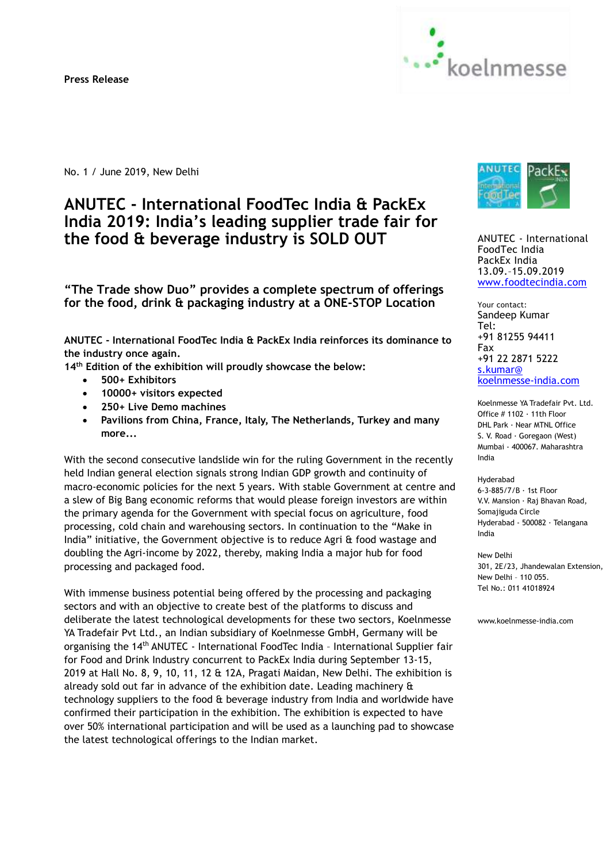**Press Release** 



No. 1 / June 2019, New Delhi

# **ANUTEC - International FoodTec India & PackEx India 2019: India's leading supplier trade fair for the food & beverage industry is SOLD OUT**

**"The Trade show Duo" provides a complete spectrum of offerings for the food, drink & packaging industry at a ONE-STOP Location**

**ANUTEC - International FoodTec India & PackEx India reinforces its dominance to the industry once again.** 

**14th Edition of the exhibition will proudly showcase the below:**

- **500+ Exhibitors**
- **10000+ visitors expected**
- **250+ Live Demo machines**
- **Pavilions from China, France, Italy, The Netherlands, Turkey and many more...**

With the second consecutive landslide win for the ruling Government in the recently held Indian general election signals strong Indian GDP growth and continuity of macro-economic policies for the next 5 years. With stable Government at centre and a slew of Big Bang economic reforms that would please foreign investors are within the primary agenda for the Government with special focus on agriculture, food processing, cold chain and warehousing sectors. In continuation to the "Make in India" initiative, the Government objective is to reduce Agri & food wastage and doubling the Agri-income by 2022, thereby, making India a major hub for food processing and packaged food.

With immense business potential being offered by the processing and packaging sectors and with an objective to create best of the platforms to discuss and deliberate the latest technological developments for these two sectors, Koelnmesse YA Tradefair Pvt Ltd., an Indian subsidiary of Koelnmesse GmbH, Germany will be organising the 14th ANUTEC - International FoodTec India – International Supplier fair for Food and Drink Industry concurrent to PackEx India during September 13-15, 2019 at Hall No. 8, 9, 10, 11, 12 & 12A, Pragati Maidan, New Delhi. The exhibition is already sold out far in advance of the exhibition date. Leading machinery & technology suppliers to the food & beverage industry from India and worldwide have confirmed their participation in the exhibition. The exhibition is expected to have over 50% international participation and will be used as a launching pad to showcase the latest technological offerings to the Indian market.



ANUTEC - International FoodTec India PackEx India 13.09.–15.09.2019 [www.foodtecindia.com](http://www.foodtecindia.com/)

Your contact: Sandeep Kumar Tel: +91 81255 94411 Fax +91 22 2871 5222 [s.kumar@](mailto:s.kumar@koelnmesse-india.com) koelnmesse-india.com

Koelnmesse YA Tradefair Pvt. Ltd. Office # 1102 · 11th Floor DHL Park · Near MTNL Office S. V. Road · Goregaon (West) Mumbai - 400067. Maharashtra India

Hyderabad 6-3-885/7/B · 1st Floor V.V. Mansion · Raj Bhavan Road, Somajiguda Circle Hyderabad - 500082 · Telangana India

New Delhi 301, 2E/23, Jhandewalan Extension, New Delhi – 110 055. Tel No.: 011 41018924

www.koelnmesse-india.com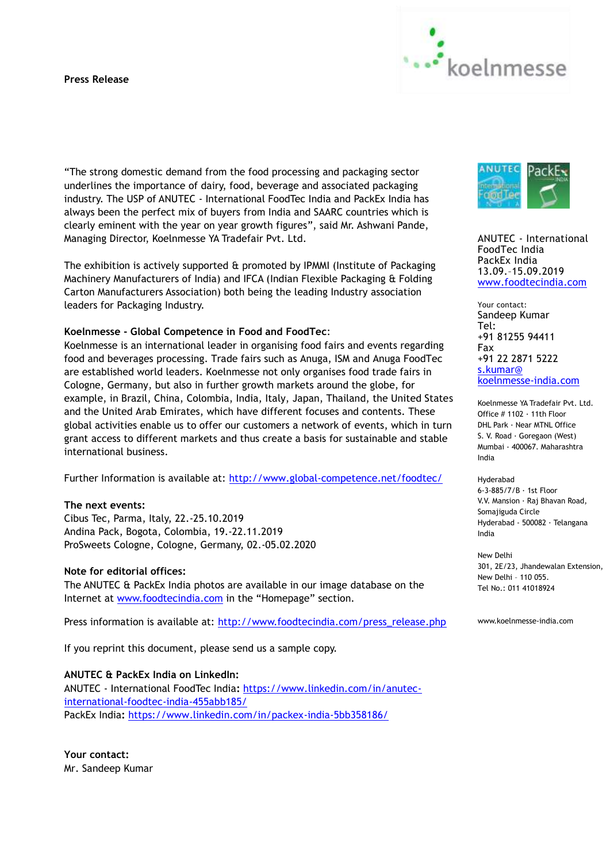## **Press Release**



"The strong domestic demand from the food processing and packaging sector underlines the importance of dairy, food, beverage and associated packaging industry. The USP of ANUTEC - International FoodTec India and PackEx India has always been the perfect mix of buyers from India and SAARC countries which is clearly eminent with the year on year growth figures", said Mr. Ashwani Pande, Managing Director, Koelnmesse YA Tradefair Pvt. Ltd.

The exhibition is actively supported & promoted by IPMMI (Institute of Packaging Machinery Manufacturers of India) and IFCA (Indian Flexible Packaging & Folding Carton Manufacturers Association) both being the leading Industry association leaders for Packaging Industry.

## **Koelnmesse - Global Competence in Food and FoodTec**:

Koelnmesse is an international leader in organising food fairs and events regarding food and beverages processing. Trade fairs such as Anuga, ISM and Anuga FoodTec are established world leaders. Koelnmesse not only organises food trade fairs in Cologne, Germany, but also in further growth markets around the globe, for example, in Brazil, China, Colombia, India, Italy, Japan, Thailand, the United States and the United Arab Emirates, which have different focuses and contents. These global activities enable us to offer our customers a network of events, which in turn grant access to different markets and thus create a basis for sustainable and stable international business.

Further Information is available at: <http://www.global-competence.net/foodtec/>

#### **The next events:**

Cibus Tec, Parma, Italy, 22.-25.10.2019 Andina Pack, Bogota, Colombia, 19.-22.11.2019 ProSweets Cologne, Cologne, Germany, 02.-05.02.2020

#### **Note for editorial offices:**

The ANUTEC & PackEx India photos are available in our image database on the Internet at [www.foodtecindia.com](http://www.foodtecindia.com/) in the "Homepage" section.

Press information is available at: [http://www.foodtecindia.com/press\\_release.php](http://www.foodtecindia.com/press_release.php)

If you reprint this document, please send us a sample copy.

## **ANUTEC & PackEx India on LinkedIn:**

ANUTEC - International FoodTec India**:** [https://www.linkedin.com/in/anutec](https://www.linkedin.com/in/anutec-international-foodtec-india-455abb185/)[international-foodtec-india-455abb185/](https://www.linkedin.com/in/anutec-international-foodtec-india-455abb185/) PackEx India**:** <https://www.linkedin.com/in/packex-india-5bb358186/>

**Your contact:** Mr. Sandeep Kumar



ANUTEC - International FoodTec India PackEx India 13.09.–15.09.2019 [www.foodtecindia.com](http://www.foodtecindia.com/)

Your contact: Sandeep Kumar Tel: +91 81255 94411 Fax +91 22 2871 5222 [s.kumar@](mailto:s.kumar@koelnmesse-india.com) koelnmesse-india.com

Koelnmesse YA Tradefair Pvt. Ltd. Office # 1102 · 11th Floor DHL Park · Near MTNL Office S. V. Road · Goregaon (West) Mumbai - 400067. Maharashtra India

Hyderabad 6-3-885/7/B · 1st Floor V.V. Mansion · Raj Bhavan Road, Somajiguda Circle Hyderabad - 500082 · Telangana India

New Delhi 301, 2E/23, Jhandewalan Extension, New Delhi – 110 055. Tel No.: 011 41018924

www.koelnmesse-india.com